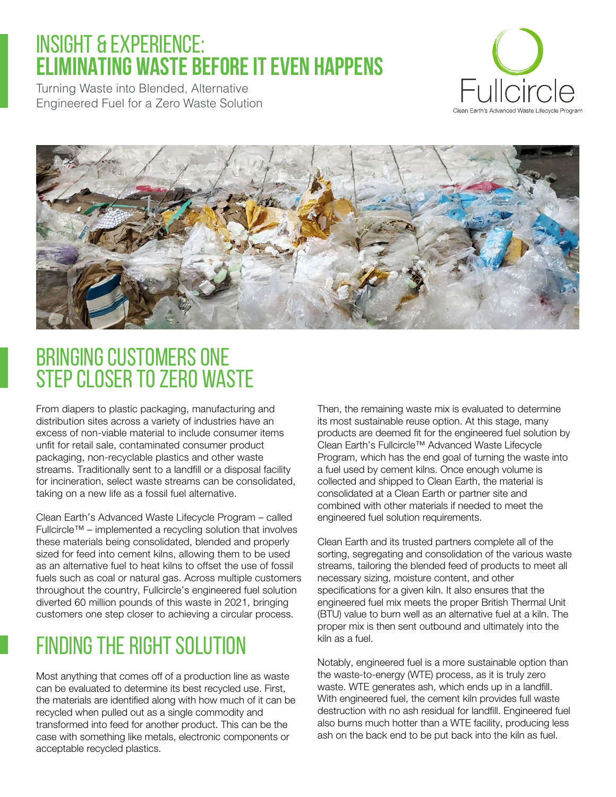### INSIGHT & EXPERIENCE: **ELIMINATING WASTE BEFORE IT EVEN HAPPENS**

Turning Waste into Blended, Alternative Engineered Fuel for a Zero Waste Solution





## Bringing customers one step closer to Zero Waste

From diapers to plastic packaging, manufacturing and distribution sites across a variety of industries have an excess of non-viable material to include consumer items unfit for retail sale, contaminated consumer product packaging, non-recyclable plastics and other waste streams. Traditionally sent to a landfill or a disposal facility for incineration, select waste streams can be consolidated, taking on a new life as a fossil fuel alternative.

Clean Earth's Advanced Waste Lifecycle Program – called Fullcircle™ – implemented a recycling solution that involves these materials being consolidated, blended and properly sized for feed into cement kilns, allowing them to be used as an alternative fuel to heat kilns to offset the use of fossil fuels such as coal or natural gas. Across multiple customers throughout the country, Fullcircle's engineered fuel solution diverted 60 million pounds of this waste in 2021, bringing customers one step closer to achieving a circular process.

# Finding the Right Solution

Most anything that comes off of a production line as waste can be evaluated to determine its best recycled use. First, the materials are identified along with how much of it can be recycled when pulled out as a single commodity and transformed into feed for another product. This can be the case with something like metals, electronic components or acceptable recycled plastics.

Then, the remaining waste mix is evaluated to determine its most sustainable reuse option. At this stage, many products are deemed fit for the engineered fuel solution by Clean Earth's Fullcircle™ Advanced Waste Lifecycle Program, which has the end goal of turning the waste into a fuel used by cement kilns. Once enough volume is collected and shipped to Clean Earth, the material is consolidated at a Clean Earth or partner site and combined with other materials if needed to meet the engineered fuel solution requirements.

Clean Earth and its trusted partners complete all of the sorting, segregating and consolidation of the various waste streams, tailoring the blended feed of products to meet all necessary sizing, moisture content, and other specifications for a given kiln. It also ensures that the engineered fuel mix meets the proper British Thermal Unit (BTU) value to burn well as an alternative fuel at a kiln. The proper mix is then sent outbound and ultimately into the kiln as a fuel.

Notably, engineered fuel is a more sustainable option than the waste-to-energy (WTE) process, as it is truly zero waste. WTE generates ash, which ends up in a landfill. With engineered fuel, the cement kiln provides full waste destruction with no ash residual for landfill. Engineered fuel also burns much hotter than a WTE facility, producing less ash on the back end to be put back into the kiln as fuel.